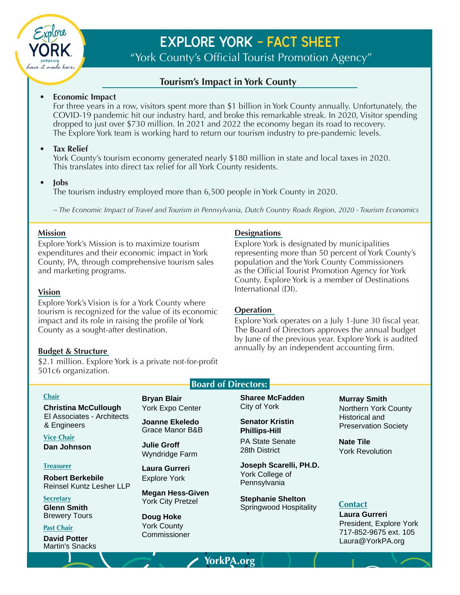

# **Explore York - Fact Sheet**

"York County's Official Tourist Promotion Agency"

### **Tourism's Impact in York County**

#### **• Economic Impact**

For three years in a row, visitors spent more than \$1 billion in York County annually. Unfortunately, the COVID-19 pandemic hit our industry hard, and broke this remarkable streak. In 2020, Visitor spending dropped to just over \$730 million. In 2021 and 2022 the economy began its road to recovery. The Explore York team is working hard to return our tourism industry to pre-pandemic levels.

#### **• Tax Relief**

York County's tourism economy generated nearly \$180 million in state and local taxes in 2020. This translates into direct tax relief for all York County residents.

#### **• Jobs**

The tourism industry employed more than 6,500 people in York County in 2020.

*-- The Economic Impact of Travel and Tourism in Pennsylvania, Dutch Country Roads Region, 2020 - Tourism Economics*

#### **Mission**

Explore York's Mission is to maximize tourism expenditures and their economic impact in York County, PA, through comprehensive tourism sales and marketing programs.

#### **Vision**

Explore York's Vision is for a York County where tourism is recognized for the value of its economic impact and its role in raising the profile of York County as a sought-after destination.

#### **Budget & Structure**

\$2.1 million. Explore York is a private not-for-profit 501c6 organization.

#### **Chair**

**Christina McCullough** El Associates - Architects & Engineers **Chair Bryan Blair**<br> **Christina McCullough** York Expo Center<br>
El Associates - Architects<br>
& Engineers Joanne Ekeledo<br>
Vice Chair<br> **Dan Johnson** Julie Groff<br>
Myndridge Farm<br> **Treasurer** Laura Gurreri<br> **Robert Berkebile**<br> **M** 

**Vice Chair Dan Johnson**

#### **Treasurer**

**Robert Berkebile** Reinsel Kuntz Lesher LLP

**Secretary**

**Glenn Smith** Brewery Tours

**Past Chair**

**David Potter**

York County

**Senator Kristin Phillips-Hill** PA State Senate 28th District

**Bryan Blair Sharee McFadden**<br>
York Expo Center City of York<br> **Joanne Ekeledo** Senator Kristin<br>
Grace Manor B&B Phillips-Hill<br>
Julie Groff PA State Senate<br>
Wyndridge Farm 28th District<br>
Laura Gurreri Joseph Scarelli, P<br>
Ex **Joseph Scarelli, PH.D.** York College of Pennsylvania Sharee McFadden<br>
City of York<br>
Senator Kristin<br>
Phillips-Hill<br>
PA State Senate<br>
28th District<br>
Joseph Scarelli, PH.D.<br>
York College of<br>
Pennsylvania<br>
Stephanie Shelton<br>
Springwood Hospitality<br>
Contact

**Stephanie Shelton**

Northern York County Historical and Preservation Society

**Nate Tile** York Revolution

#### **Contact**

**Laura Gurreri** President, Explore York 717-852-9675 ext. 105 Laura@YorkPA.org

#### **Designations**

Explore York is designated by municipalities representing more than 50 percent of York County's population and the York County Commissioners as the Official Tourist Promotion Agency for York County. Explore York is a member of Destinations International (DI).

#### **Operation**

Explore York operates on a July 1-June 30 fiscal year. The Board of Directors approves the annual budget by June of the previous year. Explore York is audited annually by an independent accounting firm.

**YorkPA.org**

**Board of Directors:**